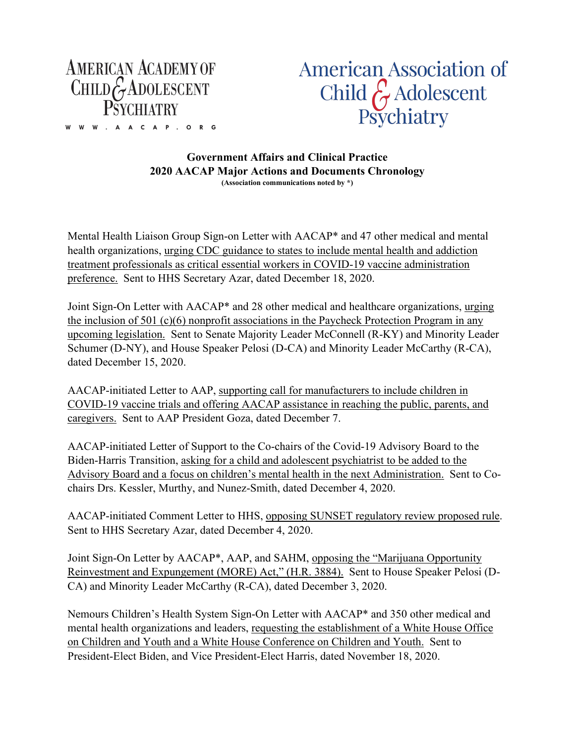

W W W . A A C A P . O R G

**American Association of** Child  $\hat{\zeta}$  Adolescent Psychiatry

**Government Affairs and Clinical Practice 2020 AACAP Major Actions and Documents Chronology (Association communications noted by \*)**

Mental Health Liaison Group Sign-on Letter with AACAP\* and 47 other medical and mental health organizations, urging CDC guidance to states to include mental health and addiction treatment professionals as critical essential workers in COVID-19 vaccine administration preference. Sent to HHS Secretary Azar, dated December 18, 2020.

Joint Sign-On Letter with AACAP\* and 28 other medical and healthcare organizations, urging the inclusion of 501 (c)(6) nonprofit associations in the Paycheck Protection Program in any upcoming legislation. Sent to Senate Majority Leader McConnell (R-KY) and Minority Leader Schumer (D-NY), and House Speaker Pelosi (D-CA) and Minority Leader McCarthy (R-CA), dated December 15, 2020.

AACAP-initiated Letter to AAP, supporting call for manufacturers to include children in COVID-19 vaccine trials and offering AACAP assistance in reaching the public, parents, and caregivers. Sent to AAP President Goza, dated December 7.

AACAP-initiated Letter of Support to the Co-chairs of the Covid-19 Advisory Board to the Biden-Harris Transition, asking for a child and adolescent psychiatrist to be added to the Advisory Board and a focus on children's mental health in the next Administration. Sent to Cochairs Drs. Kessler, Murthy, and Nunez-Smith, dated December 4, 2020.

AACAP-initiated Comment Letter to HHS, opposing SUNSET regulatory review proposed rule. Sent to HHS Secretary Azar, dated December 4, 2020.

Joint Sign-On Letter by AACAP\*, AAP, and SAHM, opposing the "Marijuana Opportunity Reinvestment and Expungement (MORE) Act," (H.R. 3884). Sent to House Speaker Pelosi (D-CA) and Minority Leader McCarthy (R-CA), dated December 3, 2020.

Nemours Children's Health System Sign-On Letter with AACAP\* and 350 other medical and mental health organizations and leaders, requesting the establishment of a White House Office on Children and Youth and a White House Conference on Children and Youth. Sent to President-Elect Biden, and Vice President-Elect Harris, dated November 18, 2020.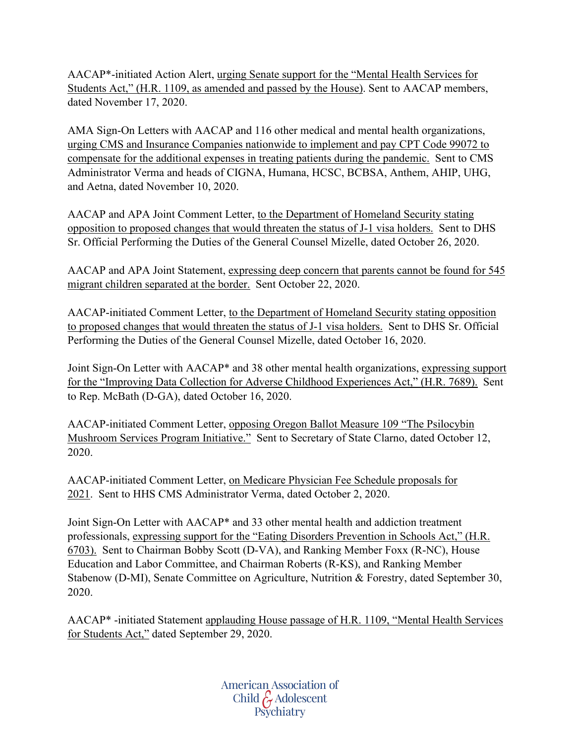AACAP\*-initiated Action Alert, urging Senate support for the "Mental Health Services for Students Act," (H.R. 1109, as amended and passed by the House). Sent to AACAP members, dated November 17, 2020.

AMA Sign-On Letters with AACAP and 116 other medical and mental health organizations, urging CMS and Insurance Companies nationwide to implement and pay CPT Code 99072 to compensate for the additional expenses in treating patients during the pandemic. Sent to CMS Administrator Verma and heads of CIGNA, Humana, HCSC, BCBSA, Anthem, AHIP, UHG, and Aetna, dated November 10, 2020.

AACAP and APA Joint Comment Letter, to the Department of Homeland Security stating opposition to proposed changes that would threaten the status of J-1 visa holders. Sent to DHS Sr. Official Performing the Duties of the General Counsel Mizelle, dated October 26, 2020.

AACAP and APA Joint Statement, expressing deep concern that parents cannot be found for 545 migrant children separated at the border. Sent October 22, 2020.

AACAP-initiated Comment Letter, to the Department of Homeland Security stating opposition to proposed changes that would threaten the status of J-1 visa holders. Sent to DHS Sr. Official Performing the Duties of the General Counsel Mizelle, dated October 16, 2020.

Joint Sign-On Letter with AACAP\* and 38 other mental health organizations, expressing support for the "Improving Data Collection for Adverse Childhood Experiences Act," (H.R. 7689). Sent to Rep. McBath (D-GA), dated October 16, 2020.

AACAP-initiated Comment Letter, opposing Oregon Ballot Measure 109 "The Psilocybin Mushroom Services Program Initiative." Sent to Secretary of State Clarno, dated October 12, 2020.

AACAP-initiated Comment Letter, on Medicare Physician Fee Schedule proposals for 2021. Sent to HHS CMS Administrator Verma, dated October 2, 2020.

Joint Sign-On Letter with AACAP\* and 33 other mental health and addiction treatment professionals, expressing support for the "Eating Disorders Prevention in Schools Act," (H.R. 6703). Sent to Chairman Bobby Scott (D-VA), and Ranking Member Foxx (R-NC), House Education and Labor Committee, and Chairman Roberts (R-KS), and Ranking Member Stabenow (D-MI), Senate Committee on Agriculture, Nutrition & Forestry, dated September 30, 2020.

AACAP\* -initiated Statement applauding House passage of H.R. 1109, "Mental Health Services for Students Act," dated September 29, 2020.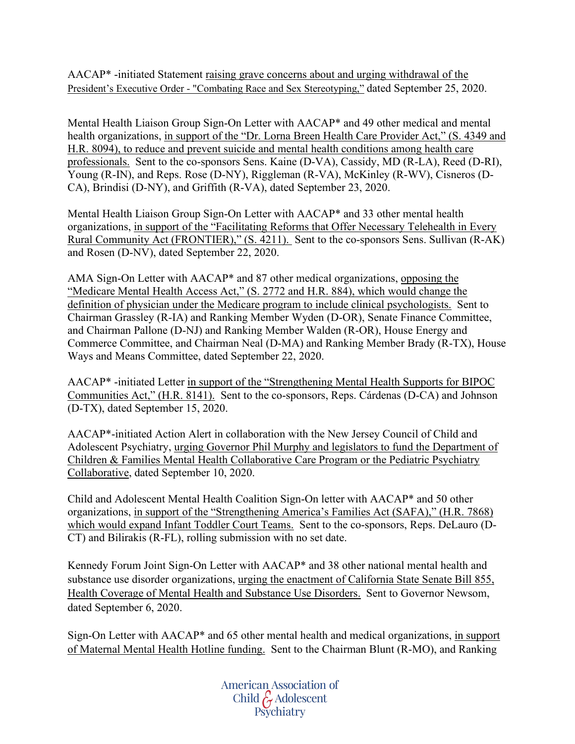AACAP\* -initiated Statement raising grave concerns about and urging withdrawal of the President's Executive Order - "Combating Race and Sex Stereotyping," dated September 25, 2020.

Mental Health Liaison Group Sign-On Letter with AACAP\* and 49 other medical and mental health organizations, in support of the "Dr. Lorna Breen Health Care Provider Act," (S. 4349 and H.R. 8094), to reduce and prevent suicide and mental health conditions among health care professionals. Sent to the co-sponsors Sens. Kaine (D-VA), Cassidy, MD (R-LA), Reed (D-RI), Young (R-IN), and Reps. Rose (D-NY), Riggleman (R-VA), McKinley (R-WV), Cisneros (D-CA), Brindisi (D-NY), and Griffith (R-VA), dated September 23, 2020.

Mental Health Liaison Group Sign-On Letter with AACAP\* and 33 other mental health organizations, in support of the "Facilitating Reforms that Offer Necessary Telehealth in Every Rural Community Act (FRONTIER)," (S. 4211). Sent to the co-sponsors Sens. Sullivan (R-AK) and Rosen (D-NV), dated September 22, 2020.

AMA Sign-On Letter with AACAP\* and 87 other medical organizations, opposing the "Medicare Mental Health Access Act," (S. 2772 and H.R. 884), which would change the definition of physician under the Medicare program to include clinical psychologists. Sent to Chairman Grassley (R-IA) and Ranking Member Wyden (D-OR), Senate Finance Committee, and Chairman Pallone (D-NJ) and Ranking Member Walden (R-OR), House Energy and Commerce Committee, and Chairman Neal (D-MA) and Ranking Member Brady (R-TX), House Ways and Means Committee, dated September 22, 2020.

AACAP\* -initiated Letter in support of the "Strengthening Mental Health Supports for BIPOC Communities Act," (H.R. 8141). Sent to the co-sponsors, Reps. Cárdenas (D-CA) and Johnson (D-TX), dated September 15, 2020.

AACAP\*-initiated Action Alert in collaboration with the New Jersey Council of Child and Adolescent Psychiatry, urging Governor Phil Murphy and legislators to fund the Department of Children & Families Mental Health Collaborative Care Program or the Pediatric Psychiatry Collaborative, dated September 10, 2020.

Child and Adolescent Mental Health Coalition Sign-On letter with AACAP\* and 50 other organizations, in support of the "Strengthening America's Families Act (SAFA)," (H.R. 7868) which would expand Infant Toddler Court Teams. Sent to the co-sponsors, Reps. DeLauro (D-CT) and Bilirakis (R-FL), rolling submission with no set date.

Kennedy Forum Joint Sign-On Letter with AACAP\* and 38 other national mental health and substance use disorder organizations, urging the enactment of California State Senate Bill 855, Health Coverage of Mental Health and Substance Use Disorders. Sent to Governor Newsom, dated September 6, 2020.

Sign-On Letter with AACAP\* and 65 other mental health and medical organizations, in support of Maternal Mental Health Hotline funding. Sent to the Chairman Blunt (R-MO), and Ranking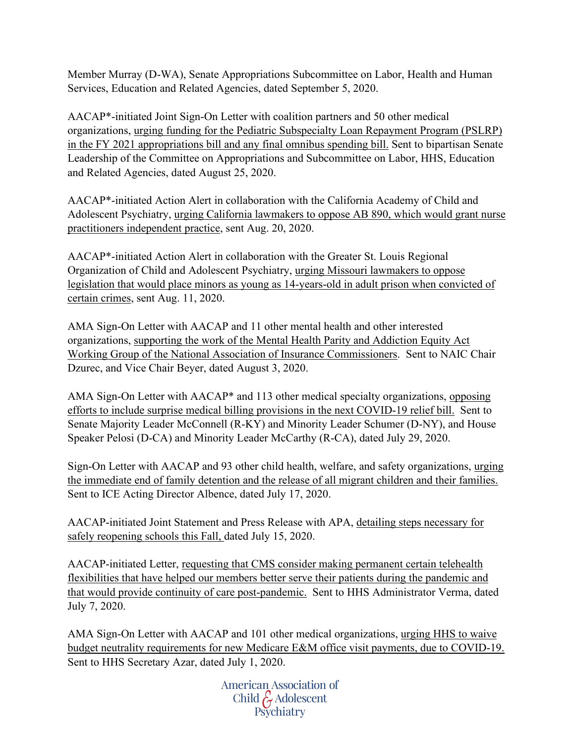Member Murray (D-WA), Senate Appropriations Subcommittee on Labor, Health and Human Services, Education and Related Agencies, dated September 5, 2020.

AACAP\*-initiated Joint Sign-On Letter with coalition partners and 50 other medical organizations, urging funding for the Pediatric Subspecialty Loan Repayment Program (PSLRP) in the FY 2021 appropriations bill and any final omnibus spending bill. Sent to bipartisan Senate Leadership of the Committee on Appropriations and Subcommittee on Labor, HHS, Education and Related Agencies, dated August 25, 2020.

AACAP\*-initiated Action Alert in collaboration with the California Academy of Child and Adolescent Psychiatry, urging California lawmakers to oppose AB 890, which would grant nurse practitioners independent practice, sent Aug. 20, 2020.

AACAP\*-initiated Action Alert in collaboration with the Greater St. Louis Regional Organization of Child and Adolescent Psychiatry, urging Missouri lawmakers to oppose legislation that would place minors as young as 14-years-old in adult prison when convicted of certain crimes, sent Aug. 11, 2020.

AMA Sign-On Letter with AACAP and 11 other mental health and other interested organizations, supporting the work of the Mental Health Parity and Addiction Equity Act Working Group of the National Association of Insurance Commissioners. Sent to NAIC Chair Dzurec, and Vice Chair Beyer, dated August 3, 2020.

AMA Sign-On Letter with AACAP\* and 113 other medical specialty organizations, opposing efforts to include surprise medical billing provisions in the next COVID-19 relief bill. Sent to Senate Majority Leader McConnell (R-KY) and Minority Leader Schumer (D-NY), and House Speaker Pelosi (D-CA) and Minority Leader McCarthy (R-CA), dated July 29, 2020.

Sign-On Letter with AACAP and 93 other child health, welfare, and safety organizations, urging the immediate end of family detention and the release of all migrant children and their families. Sent to ICE Acting Director Albence, dated July 17, 2020.

AACAP-initiated Joint Statement and Press Release with APA, detailing steps necessary for safely reopening schools this Fall, dated July 15, 2020.

AACAP-initiated Letter, requesting that CMS consider making permanent certain telehealth flexibilities that have helped our members better serve their patients during the pandemic and that would provide continuity of care post-pandemic. Sent to HHS Administrator Verma, dated July 7, 2020.

AMA Sign-On Letter with AACAP and 101 other medical organizations, urging HHS to waive budget neutrality requirements for new Medicare E&M office visit payments, due to COVID-19. Sent to HHS Secretary Azar, dated July 1, 2020.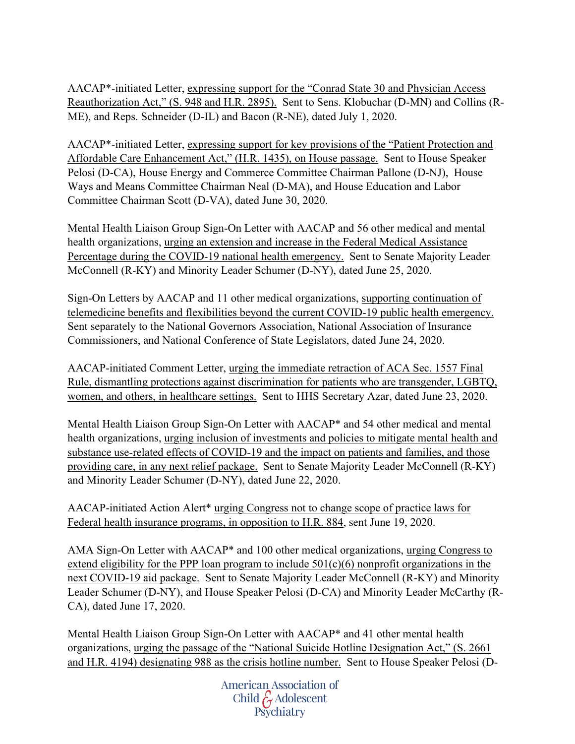AACAP\*-initiated Letter, expressing support for the "Conrad State 30 and Physician Access Reauthorization Act," (S. 948 and H.R. 2895). Sent to Sens. Klobuchar (D-MN) and Collins (R-ME), and Reps. Schneider (D-IL) and Bacon (R-NE), dated July 1, 2020.

AACAP\*-initiated Letter, expressing support for key provisions of the "Patient Protection and Affordable Care Enhancement Act," (H.R. 1435), on House passage. Sent to House Speaker Pelosi (D-CA), House Energy and Commerce Committee Chairman Pallone (D-NJ), House Ways and Means Committee Chairman Neal (D-MA), and House Education and Labor Committee Chairman Scott (D-VA), dated June 30, 2020.

Mental Health Liaison Group Sign-On Letter with AACAP and 56 other medical and mental health organizations, urging an extension and increase in the Federal Medical Assistance Percentage during the COVID-19 national health emergency. Sent to Senate Majority Leader McConnell (R-KY) and Minority Leader Schumer (D-NY), dated June 25, 2020.

Sign-On Letters by AACAP and 11 other medical organizations, supporting continuation of telemedicine benefits and flexibilities beyond the current COVID-19 public health emergency. Sent separately to the National Governors Association, National Association of Insurance Commissioners, and National Conference of State Legislators, dated June 24, 2020.

AACAP-initiated Comment Letter, urging the immediate retraction of ACA Sec. 1557 Final Rule, dismantling protections against discrimination for patients who are transgender, LGBTQ, women, and others, in healthcare settings. Sent to HHS Secretary Azar, dated June 23, 2020.

Mental Health Liaison Group Sign-On Letter with AACAP\* and 54 other medical and mental health organizations, urging inclusion of investments and policies to mitigate mental health and substance use-related effects of COVID-19 and the impact on patients and families, and those providing care, in any next relief package. Sent to Senate Majority Leader McConnell (R-KY) and Minority Leader Schumer (D-NY), dated June 22, 2020.

AACAP-initiated Action Alert\* urging Congress not to change scope of practice laws for Federal health insurance programs, in opposition to H.R. 884, sent June 19, 2020.

AMA Sign-On Letter with AACAP\* and 100 other medical organizations, urging Congress to extend eligibility for the PPP loan program to include  $501(c)(6)$  nonprofit organizations in the next COVID-19 aid package. Sent to Senate Majority Leader McConnell (R-KY) and Minority Leader Schumer (D-NY), and House Speaker Pelosi (D-CA) and Minority Leader McCarthy (R-CA), dated June 17, 2020.

Mental Health Liaison Group Sign-On Letter with AACAP\* and 41 other mental health organizations, urging the passage of the "National Suicide Hotline Designation Act," (S. 2661 and H.R. 4194) designating 988 as the crisis hotline number. Sent to House Speaker Pelosi (D-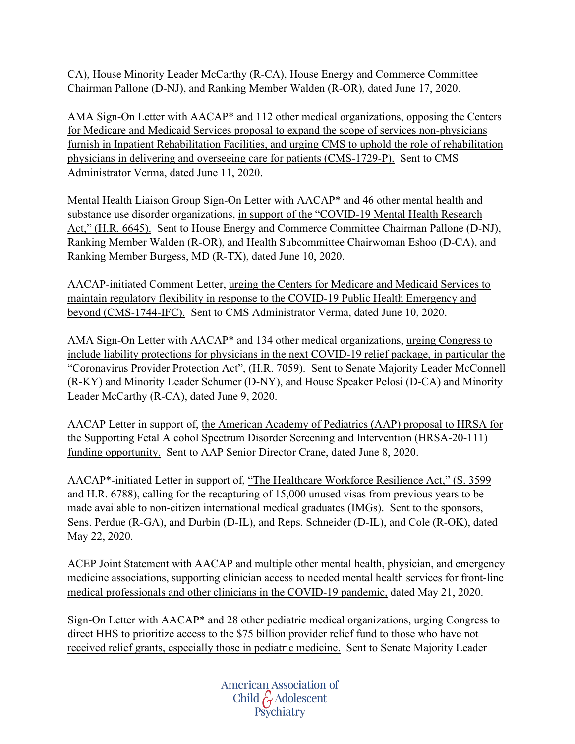CA), House Minority Leader McCarthy (R-CA), House Energy and Commerce Committee Chairman Pallone (D-NJ), and Ranking Member Walden (R-OR), dated June 17, 2020.

AMA Sign-On Letter with AACAP\* and 112 other medical organizations, opposing the Centers for Medicare and Medicaid Services proposal to expand the scope of services non-physicians furnish in Inpatient Rehabilitation Facilities, and urging CMS to uphold the role of rehabilitation physicians in delivering and overseeing care for patients (CMS-1729-P). Sent to CMS Administrator Verma, dated June 11, 2020.

Mental Health Liaison Group Sign-On Letter with AACAP\* and 46 other mental health and substance use disorder organizations, in support of the "COVID-19 Mental Health Research Act," (H.R. 6645). Sent to House Energy and Commerce Committee Chairman Pallone (D-NJ), Ranking Member Walden (R-OR), and Health Subcommittee Chairwoman Eshoo (D-CA), and Ranking Member Burgess, MD (R-TX), dated June 10, 2020.

AACAP-initiated Comment Letter, urging the Centers for Medicare and Medicaid Services to maintain regulatory flexibility in response to the COVID-19 Public Health Emergency and beyond (CMS-1744-IFC). Sent to CMS Administrator Verma, dated June 10, 2020.

AMA Sign-On Letter with AACAP\* and 134 other medical organizations, urging Congress to include liability protections for physicians in the next COVID-19 relief package, in particular the "Coronavirus Provider Protection Act", (H.R. 7059). Sent to Senate Majority Leader McConnell (R-KY) and Minority Leader Schumer (D-NY), and House Speaker Pelosi (D-CA) and Minority Leader McCarthy (R-CA), dated June 9, 2020.

AACAP Letter in support of, the American Academy of Pediatrics (AAP) proposal to HRSA for the Supporting Fetal Alcohol Spectrum Disorder Screening and Intervention (HRSA-20-111) funding opportunity. Sent to AAP Senior Director Crane, dated June 8, 2020.

AACAP\*-initiated Letter in support of, "The Healthcare Workforce Resilience Act," (S. 3599 and H.R. 6788), calling for the recapturing of 15,000 unused visas from previous years to be made available to non-citizen international medical graduates (IMGs). Sent to the sponsors, Sens. Perdue (R-GA), and Durbin (D-IL), and Reps. Schneider (D-IL), and Cole (R-OK), dated May 22, 2020.

ACEP Joint Statement with AACAP and multiple other mental health, physician, and emergency medicine associations, supporting clinician access to needed mental health services for front-line medical professionals and other clinicians in the COVID-19 pandemic, dated May 21, 2020.

Sign-On Letter with AACAP\* and 28 other pediatric medical organizations, urging Congress to direct HHS to prioritize access to the \$75 billion provider relief fund to those who have not received relief grants, especially those in pediatric medicine. Sent to Senate Majority Leader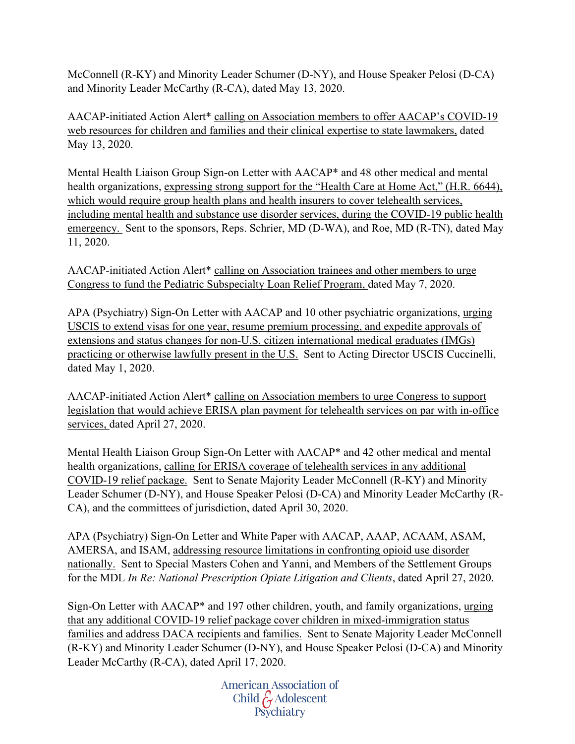McConnell (R-KY) and Minority Leader Schumer (D-NY), and House Speaker Pelosi (D-CA) and Minority Leader McCarthy (R-CA), dated May 13, 2020.

AACAP-initiated Action Alert\* calling on Association members to offer AACAP's COVID-19 web resources for children and families and their clinical expertise to state lawmakers, dated May 13, 2020.

Mental Health Liaison Group Sign-on Letter with AACAP\* and 48 other medical and mental health organizations, expressing strong support for the "Health Care at Home Act," (H.R. 6644), which would require group health plans and health insurers to cover telehealth services, including mental health and substance use disorder services, during the COVID-19 public health emergency. Sent to the sponsors, Reps. Schrier, MD (D-WA), and Roe, MD (R-TN), dated May 11, 2020.

AACAP-initiated Action Alert\* calling on Association trainees and other members to urge Congress to fund the Pediatric Subspecialty Loan Relief Program, dated May 7, 2020.

APA (Psychiatry) Sign-On Letter with AACAP and 10 other psychiatric organizations, urging USCIS to extend visas for one year, resume premium processing, and expedite approvals of extensions and status changes for non-U.S. citizen international medical graduates (IMGs) practicing or otherwise lawfully present in the U.S. Sent to Acting Director USCIS Cuccinelli, dated May 1, 2020.

AACAP-initiated Action Alert\* calling on Association members to urge Congress to support legislation that would achieve ERISA plan payment for telehealth services on par with in-office services, dated April 27, 2020.

Mental Health Liaison Group Sign-On Letter with AACAP\* and 42 other medical and mental health organizations, calling for ERISA coverage of telehealth services in any additional COVID-19 relief package. Sent to Senate Majority Leader McConnell (R-KY) and Minority Leader Schumer (D-NY), and House Speaker Pelosi (D-CA) and Minority Leader McCarthy (R-CA), and the committees of jurisdiction, dated April 30, 2020.

APA (Psychiatry) Sign-On Letter and White Paper with AACAP, AAAP, ACAAM, ASAM, AMERSA, and ISAM, addressing resource limitations in confronting opioid use disorder nationally. Sent to Special Masters Cohen and Yanni, and Members of the Settlement Groups for the MDL *In Re: National Prescription Opiate Litigation and Clients*, dated April 27, 2020.

Sign-On Letter with AACAP\* and 197 other children, youth, and family organizations, urging that any additional COVID-19 relief package cover children in mixed-immigration status families and address DACA recipients and families. Sent to Senate Majority Leader McConnell (R-KY) and Minority Leader Schumer (D-NY), and House Speaker Pelosi (D-CA) and Minority Leader McCarthy (R-CA), dated April 17, 2020.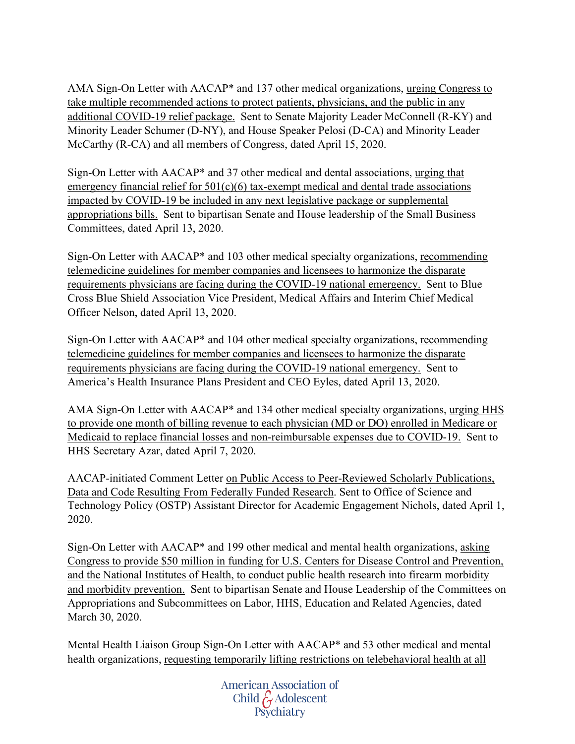AMA Sign-On Letter with AACAP\* and 137 other medical organizations, urging Congress to take multiple recommended actions to protect patients, physicians, and the public in any additional COVID-19 relief package. Sent to Senate Majority Leader McConnell (R-KY) and Minority Leader Schumer (D-NY), and House Speaker Pelosi (D-CA) and Minority Leader McCarthy (R-CA) and all members of Congress, dated April 15, 2020.

Sign-On Letter with AACAP\* and 37 other medical and dental associations, urging that emergency financial relief for  $501(c)(6)$  tax-exempt medical and dental trade associations impacted by COVID-19 be included in any next legislative package or supplemental appropriations bills. Sent to bipartisan Senate and House leadership of the Small Business Committees, dated April 13, 2020.

Sign-On Letter with AACAP\* and 103 other medical specialty organizations, recommending telemedicine guidelines for member companies and licensees to harmonize the disparate requirements physicians are facing during the COVID-19 national emergency. Sent to Blue Cross Blue Shield Association Vice President, Medical Affairs and Interim Chief Medical Officer Nelson, dated April 13, 2020.

Sign-On Letter with AACAP\* and 104 other medical specialty organizations, recommending telemedicine guidelines for member companies and licensees to harmonize the disparate requirements physicians are facing during the COVID-19 national emergency. Sent to America's Health Insurance Plans President and CEO Eyles, dated April 13, 2020.

AMA Sign-On Letter with AACAP\* and 134 other medical specialty organizations, urging HHS to provide one month of billing revenue to each physician (MD or DO) enrolled in Medicare or Medicaid to replace financial losses and non-reimbursable expenses due to COVID-19. Sent to HHS Secretary Azar, dated April 7, 2020.

AACAP-initiated Comment Letter on Public Access to Peer-Reviewed Scholarly Publications, Data and Code Resulting From Federally Funded Research. Sent to Office of Science and Technology Policy (OSTP) Assistant Director for Academic Engagement Nichols, dated April 1, 2020.

Sign-On Letter with AACAP\* and 199 other medical and mental health organizations, asking Congress to provide \$50 million in funding for U.S. Centers for Disease Control and Prevention, and the National Institutes of Health, to conduct public health research into firearm morbidity and morbidity prevention. Sent to bipartisan Senate and House Leadership of the Committees on Appropriations and Subcommittees on Labor, HHS, Education and Related Agencies, dated March 30, 2020.

Mental Health Liaison Group Sign-On Letter with AACAP\* and 53 other medical and mental health organizations, requesting temporarily lifting restrictions on telebehavioral health at all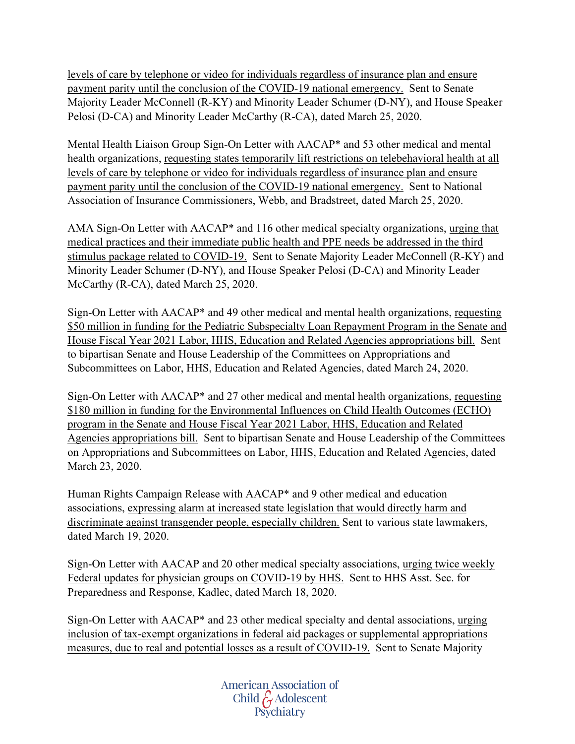levels of care by telephone or video for individuals regardless of insurance plan and ensure payment parity until the conclusion of the COVID-19 national emergency. Sent to Senate Majority Leader McConnell (R-KY) and Minority Leader Schumer (D-NY), and House Speaker Pelosi (D-CA) and Minority Leader McCarthy (R-CA), dated March 25, 2020.

Mental Health Liaison Group Sign-On Letter with AACAP\* and 53 other medical and mental health organizations, requesting states temporarily lift restrictions on telebehavioral health at all levels of care by telephone or video for individuals regardless of insurance plan and ensure payment parity until the conclusion of the COVID-19 national emergency. Sent to National Association of Insurance Commissioners, Webb, and Bradstreet, dated March 25, 2020.

AMA Sign-On Letter with AACAP\* and 116 other medical specialty organizations, urging that medical practices and their immediate public health and PPE needs be addressed in the third stimulus package related to COVID-19. Sent to Senate Majority Leader McConnell (R-KY) and Minority Leader Schumer (D-NY), and House Speaker Pelosi (D-CA) and Minority Leader McCarthy (R-CA), dated March 25, 2020.

Sign-On Letter with AACAP\* and 49 other medical and mental health organizations, requesting \$50 million in funding for the Pediatric Subspecialty Loan Repayment Program in the Senate and House Fiscal Year 2021 Labor, HHS, Education and Related Agencies appropriations bill. Sent to bipartisan Senate and House Leadership of the Committees on Appropriations and Subcommittees on Labor, HHS, Education and Related Agencies, dated March 24, 2020.

Sign-On Letter with AACAP\* and 27 other medical and mental health organizations, requesting \$180 million in funding for the Environmental Influences on Child Health Outcomes (ECHO) program in the Senate and House Fiscal Year 2021 Labor, HHS, Education and Related Agencies appropriations bill. Sent to bipartisan Senate and House Leadership of the Committees on Appropriations and Subcommittees on Labor, HHS, Education and Related Agencies, dated March 23, 2020.

Human Rights Campaign Release with AACAP\* and 9 other medical and education associations, expressing alarm at increased state legislation that would directly harm and discriminate against transgender people, especially children. Sent to various state lawmakers, dated March 19, 2020.

Sign-On Letter with AACAP and 20 other medical specialty associations, urging twice weekly Federal updates for physician groups on COVID-19 by HHS. Sent to HHS Asst. Sec. for Preparedness and Response, Kadlec, dated March 18, 2020.

Sign-On Letter with AACAP\* and 23 other medical specialty and dental associations, urging inclusion of tax-exempt organizations in federal aid packages or supplemental appropriations measures, due to real and potential losses as a result of COVID-19. Sent to Senate Majority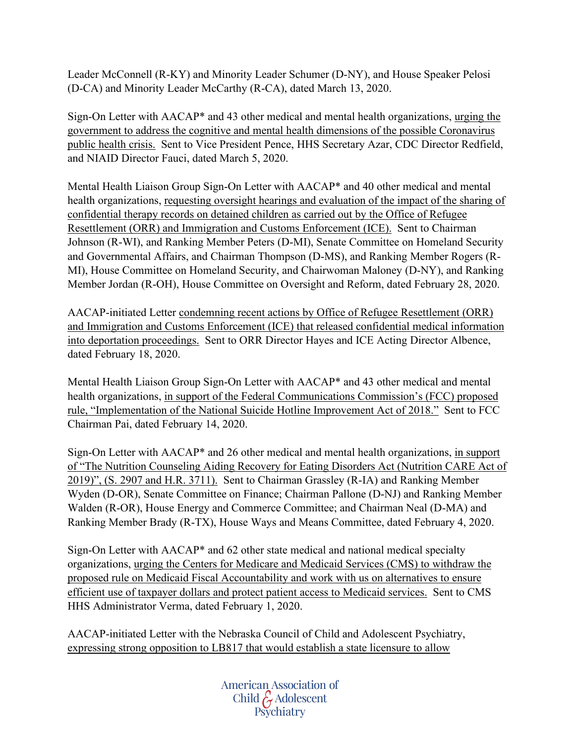Leader McConnell (R-KY) and Minority Leader Schumer (D-NY), and House Speaker Pelosi (D-CA) and Minority Leader McCarthy (R-CA), dated March 13, 2020.

Sign-On Letter with AACAP\* and 43 other medical and mental health organizations, urging the government to address the cognitive and mental health dimensions of the possible Coronavirus public health crisis. Sent to Vice President Pence, HHS Secretary Azar, CDC Director Redfield, and NIAID Director Fauci, dated March 5, 2020.

Mental Health Liaison Group Sign-On Letter with AACAP\* and 40 other medical and mental health organizations, requesting oversight hearings and evaluation of the impact of the sharing of confidential therapy records on detained children as carried out by the Office of Refugee Resettlement (ORR) and Immigration and Customs Enforcement (ICE). Sent to Chairman Johnson (R-WI), and Ranking Member Peters (D-MI), Senate Committee on Homeland Security and Governmental Affairs, and Chairman Thompson (D-MS), and Ranking Member Rogers (R-MI), House Committee on Homeland Security, and Chairwoman Maloney (D-NY), and Ranking Member Jordan (R-OH), House Committee on Oversight and Reform, dated February 28, 2020.

AACAP-initiated Letter condemning recent actions by Office of Refugee Resettlement (ORR) and Immigration and Customs Enforcement (ICE) that released confidential medical information into deportation proceedings. Sent to ORR Director Hayes and ICE Acting Director Albence, dated February 18, 2020.

Mental Health Liaison Group Sign-On Letter with AACAP\* and 43 other medical and mental health organizations, in support of the Federal Communications Commission's (FCC) proposed rule, "Implementation of the National Suicide Hotline Improvement Act of 2018." Sent to FCC Chairman Pai, dated February 14, 2020.

Sign-On Letter with AACAP\* and 26 other medical and mental health organizations, in support of "The Nutrition Counseling Aiding Recovery for Eating Disorders Act (Nutrition CARE Act of 2019)", (S. 2907 and H.R. 3711). Sent to Chairman Grassley (R-IA) and Ranking Member Wyden (D-OR), Senate Committee on Finance; Chairman Pallone (D-NJ) and Ranking Member Walden (R-OR), House Energy and Commerce Committee; and Chairman Neal (D-MA) and Ranking Member Brady (R-TX), House Ways and Means Committee, dated February 4, 2020.

Sign-On Letter with AACAP\* and 62 other state medical and national medical specialty organizations, urging the Centers for Medicare and Medicaid Services (CMS) to withdraw the proposed rule on Medicaid Fiscal Accountability and work with us on alternatives to ensure efficient use of taxpayer dollars and protect patient access to Medicaid services. Sent to CMS HHS Administrator Verma, dated February 1, 2020.

AACAP-initiated Letter with the Nebraska Council of Child and Adolescent Psychiatry, expressing strong opposition to LB817 that would establish a state licensure to allow